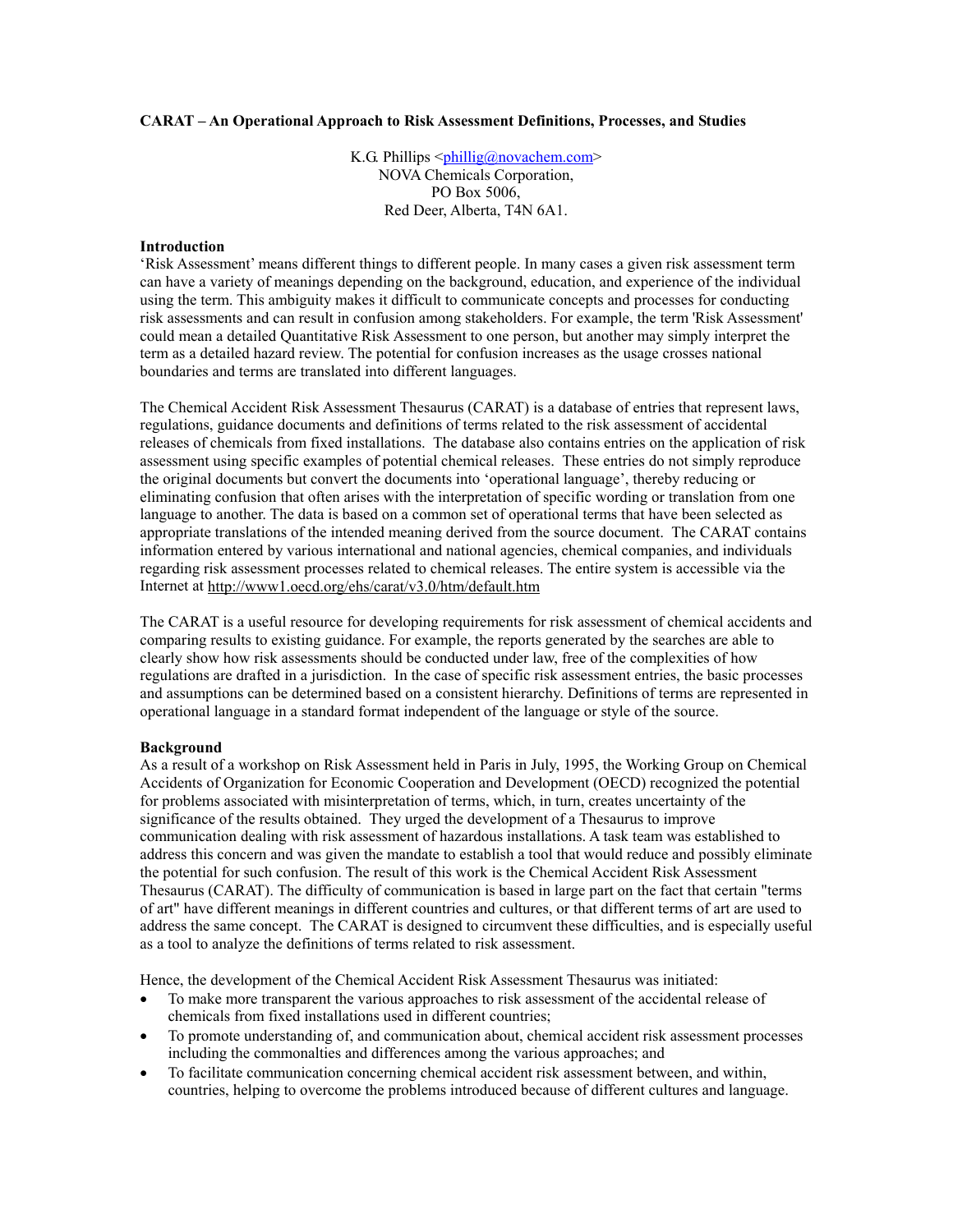## **CARAT – An Operational Approach to Risk Assessment Definitions, Processes, and Studies**

K.G. Phillips  $\langle \phi \rangle$ [phillig@novachem.com](mailto:phillig@novachem.com)> NOVA Chemicals Corporation, PO Box 5006, Red Deer, Alberta, T4N 6A1.

## **Introduction**

'Risk Assessment' means different things to different people. In many cases a given risk assessment term can have a variety of meanings depending on the background, education, and experience of the individual using the term. This ambiguity makes it difficult to communicate concepts and processes for conducting risk assessments and can result in confusion among stakeholders. For example, the term 'Risk Assessment' could mean a detailed Quantitative Risk Assessment to one person, but another may simply interpret the term as a detailed hazard review. The potential for confusion increases as the usage crosses national boundaries and terms are translated into different languages.

The Chemical Accident Risk Assessment Thesaurus (CARAT) is a database of entries that represent laws, regulations, guidance documents and definitions of terms related to the risk assessment of accidental releases of chemicals from fixed installations. The database also contains entries on the application of risk assessment using specific examples of potential chemical releases. These entries do not simply reproduce the original documents but convert the documents into 'operational language', thereby reducing or eliminating confusion that often arises with the interpretation of specific wording or translation from one language to another. The data is based on a common set of operational terms that have been selected as appropriate translations of the intended meaning derived from the source document. The CARAT contains information entered by various international and national agencies, chemical companies, and individuals regarding risk assessment processes related to chemical releases. The entire system is accessible via the Internet at http://www1.oecd.org/ehs/carat/v3.0/htm/default.htm

The CARAT is a useful resource for developing requirements for risk assessment of chemical accidents and comparing results to existing guidance. For example, the reports generated by the searches are able to clearly show how risk assessments should be conducted under law, free of the complexities of how regulations are drafted in a jurisdiction. In the case of specific risk assessment entries, the basic processes and assumptions can be determined based on a consistent hierarchy. Definitions of terms are represented in operational language in a standard format independent of the language or style of the source.

#### **Background**

As a result of a workshop on Risk Assessment held in Paris in July, 1995, the Working Group on Chemical Accidents of Organization for Economic Cooperation and Development (OECD) recognized the potential for problems associated with misinterpretation of terms, which, in turn, creates uncertainty of the significance of the results obtained. They urged the development of a Thesaurus to improve communication dealing with risk assessment of hazardous installations. A task team was established to address this concern and was given the mandate to establish a tool that would reduce and possibly eliminate the potential for such confusion. The result of this work is the Chemical Accident Risk Assessment Thesaurus (CARAT). The difficulty of communication is based in large part on the fact that certain "terms of art" have different meanings in different countries and cultures, or that different terms of art are used to address the same concept. The CARAT is designed to circumvent these difficulties, and is especially useful as a tool to analyze the definitions of terms related to risk assessment.

Hence, the development of the Chemical Accident Risk Assessment Thesaurus was initiated:

- To make more transparent the various approaches to risk assessment of the accidental release of chemicals from fixed installations used in different countries;
- To promote understanding of, and communication about, chemical accident risk assessment processes including the commonalties and differences among the various approaches; and
- To facilitate communication concerning chemical accident risk assessment between, and within, countries, helping to overcome the problems introduced because of different cultures and language.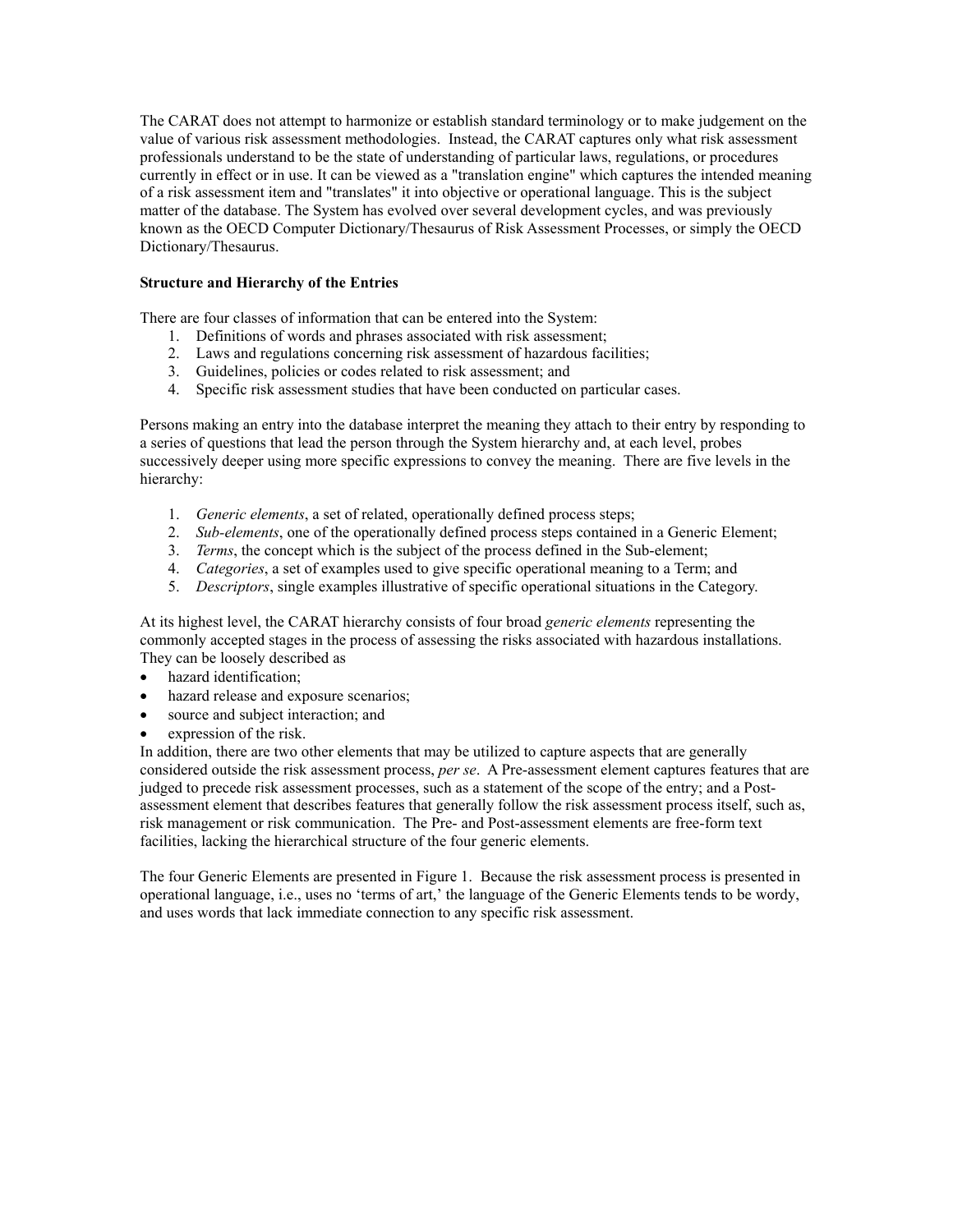The CARAT does not attempt to harmonize or establish standard terminology or to make judgement on the value of various risk assessment methodologies. Instead, the CARAT captures only what risk assessment professionals understand to be the state of understanding of particular laws, regulations, or procedures currently in effect or in use. It can be viewed as a "translation engine" which captures the intended meaning of a risk assessment item and "translates" it into objective or operational language. This is the subject matter of the database. The System has evolved over several development cycles, and was previously known as the OECD Computer Dictionary/Thesaurus of Risk Assessment Processes, or simply the OECD Dictionary/Thesaurus.

# **Structure and Hierarchy of the Entries**

There are four classes of information that can be entered into the System:

- 1. Definitions of words and phrases associated with risk assessment;
- 2. Laws and regulations concerning risk assessment of hazardous facilities;
- 3. Guidelines, policies or codes related to risk assessment; and
- 4. Specific risk assessment studies that have been conducted on particular cases.

Persons making an entry into the database interpret the meaning they attach to their entry by responding to a series of questions that lead the person through the System hierarchy and, at each level, probes successively deeper using more specific expressions to convey the meaning. There are five levels in the hierarchy:

- 1. *Generic elements*, a set of related, operationally defined process steps;
- 2. *Sub-elements*, one of the operationally defined process steps contained in a Generic Element;
- 3. *Terms*, the concept which is the subject of the process defined in the Sub-element;
- 4. *Categories*, a set of examples used to give specific operational meaning to a Term; and
- 5. *Descriptors*, single examples illustrative of specific operational situations in the Category.

At its highest level, the CARAT hierarchy consists of four broad *generic elements* representing the commonly accepted stages in the process of assessing the risks associated with hazardous installations. They can be loosely described as

- hazard identification;
- hazard release and exposure scenarios;
- source and subject interaction; and
- expression of the risk.

In addition, there are two other elements that may be utilized to capture aspects that are generally considered outside the risk assessment process, *per se*. A Pre-assessment element captures features that are judged to precede risk assessment processes, such as a statement of the scope of the entry; and a Postassessment element that describes features that generally follow the risk assessment process itself, such as, risk management or risk communication. The Pre- and Post-assessment elements are free-form text facilities, lacking the hierarchical structure of the four generic elements.

The four Generic Elements are presented in Figure 1. Because the risk assessment process is presented in operational language, i.e., uses no 'terms of art,' the language of the Generic Elements tends to be wordy, and uses words that lack immediate connection to any specific risk assessment.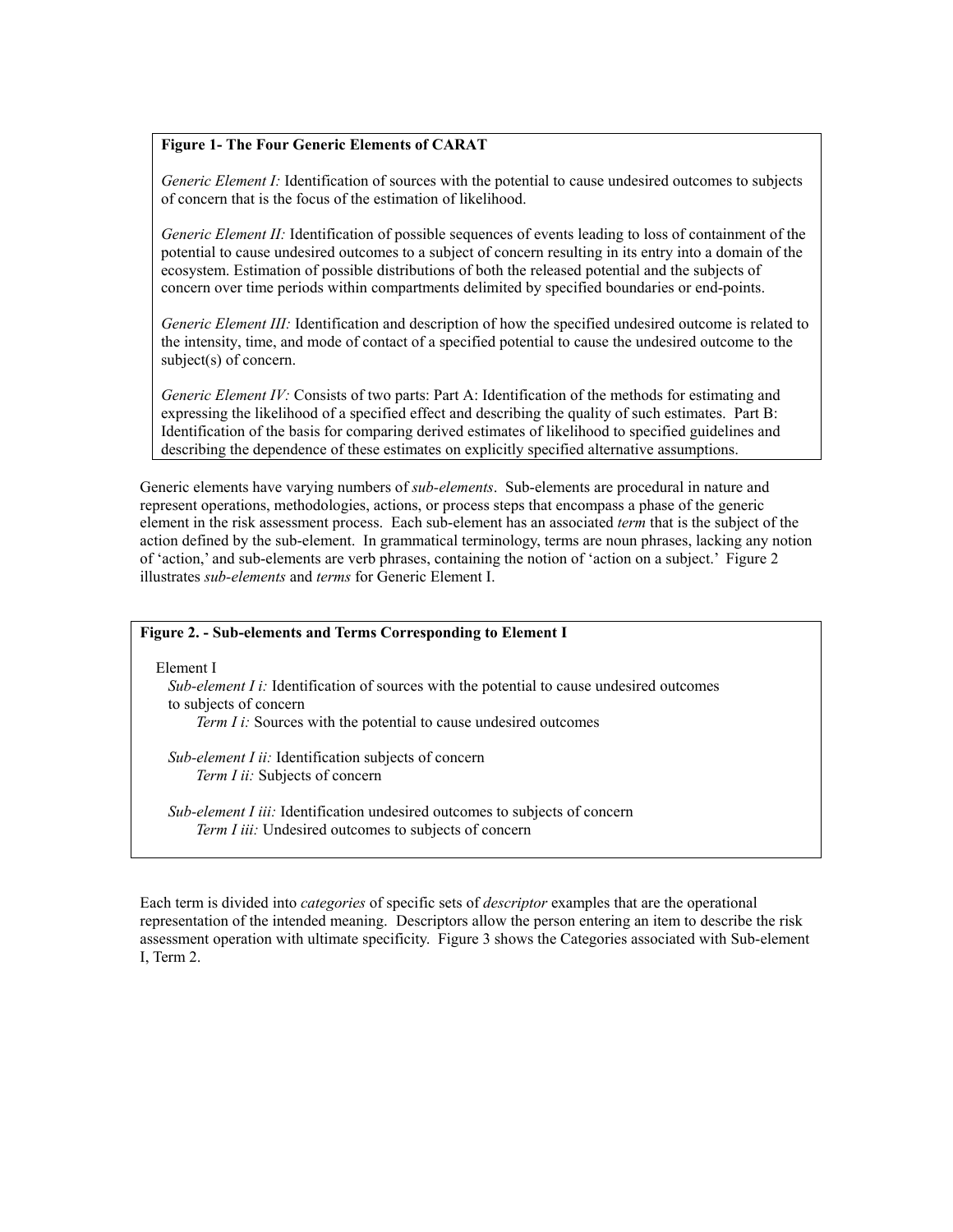# **Figure 1- The Four Generic Elements of CARAT**

*Generic Element I:* Identification of sources with the potential to cause undesired outcomes to subjects of concern that is the focus of the estimation of likelihood.

*Generic Element II:* Identification of possible sequences of events leading to loss of containment of the potential to cause undesired outcomes to a subject of concern resulting in its entry into a domain of the ecosystem. Estimation of possible distributions of both the released potential and the subjects of concern over time periods within compartments delimited by specified boundaries or end-points.

*Generic Element III:* Identification and description of how the specified undesired outcome is related to the intensity, time, and mode of contact of a specified potential to cause the undesired outcome to the subject(s) of concern.

*Generic Element IV:* Consists of two parts: Part A: Identification of the methods for estimating and expressing the likelihood of a specified effect and describing the quality of such estimates. Part B: Identification of the basis for comparing derived estimates of likelihood to specified guidelines and describing the dependence of these estimates on explicitly specified alternative assumptions.

Generic elements have varying numbers of *sub-elements*. Sub-elements are procedural in nature and represent operations, methodologies, actions, or process steps that encompass a phase of the generic element in the risk assessment process. Each sub-element has an associated *term* that is the subject of the action defined by the sub-element. In grammatical terminology, terms are noun phrases, lacking any notion of 'action,' and sub-elements are verb phrases, containing the notion of 'action on a subject.' Figure 2 illustrates *sub-elements* and *terms* for Generic Element I.

# **Figure 2. - Sub-elements and Terms Corresponding to Element I**

Element I

*Sub-element I i:* Identification of sources with the potential to cause undesired outcomes to subjects of concern *Term I i:* Sources with the potential to cause undesired outcomes

 *Sub-element I ii:* Identification subjects of concern *Term I ii:* Subjects of concern

 *Sub-element I iii:* Identification undesired outcomes to subjects of concern *Term I iii:* Undesired outcomes to subjects of concern

Each term is divided into *categories* of specific sets of *descriptor* examples that are the operational representation of the intended meaning. Descriptors allow the person entering an item to describe the risk assessment operation with ultimate specificity. Figure 3 shows the Categories associated with Sub-element I, Term 2.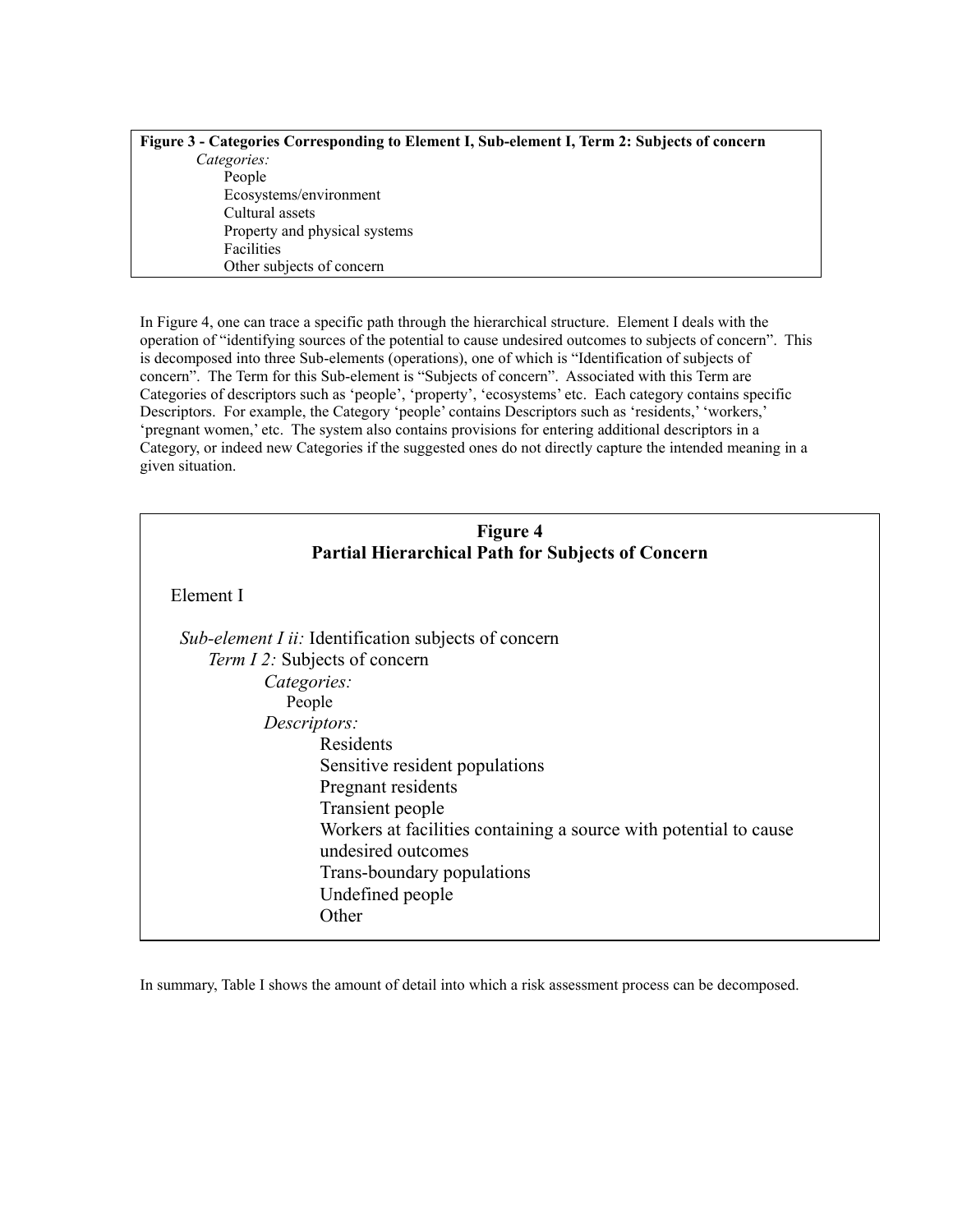| Figure 3 - Categories Corresponding to Element I, Sub-element I, Term 2: Subjects of concern |
|----------------------------------------------------------------------------------------------|
| Categories:                                                                                  |
| People                                                                                       |
| Ecosystems/environment                                                                       |
| Cultural assets                                                                              |
| Property and physical systems                                                                |
| <b>Facilities</b>                                                                            |
| Other subjects of concern                                                                    |

In Figure 4, one can trace a specific path through the hierarchical structure. Element I deals with the operation of "identifying sources of the potential to cause undesired outcomes to subjects of concern". This is decomposed into three Sub-elements (operations), one of which is "Identification of subjects of concern". The Term for this Sub-element is "Subjects of concern". Associated with this Term are Categories of descriptors such as 'people', 'property', 'ecosystems' etc. Each category contains specific Descriptors. For example, the Category 'people' contains Descriptors such as 'residents,' 'workers,' 'pregnant women,' etc. The system also contains provisions for entering additional descriptors in a Category, or indeed new Categories if the suggested ones do not directly capture the intended meaning in a given situation.

| Figure 4                                                 |  |
|----------------------------------------------------------|--|
| <b>Partial Hierarchical Path for Subjects of Concern</b> |  |

Element I

| <i>Sub-element I ii:</i> Identification subjects of concern       |
|-------------------------------------------------------------------|
| Term 12: Subjects of concern                                      |
| Categories:                                                       |
| People                                                            |
| Descriptors:                                                      |
| Residents                                                         |
| Sensitive resident populations                                    |
| Pregnant residents                                                |
| Transient people                                                  |
| Workers at facilities containing a source with potential to cause |
| undesired outcomes                                                |
| Trans-boundary populations                                        |
| Undefined people                                                  |
| Other                                                             |
|                                                                   |

In summary, Table I shows the amount of detail into which a risk assessment process can be decomposed.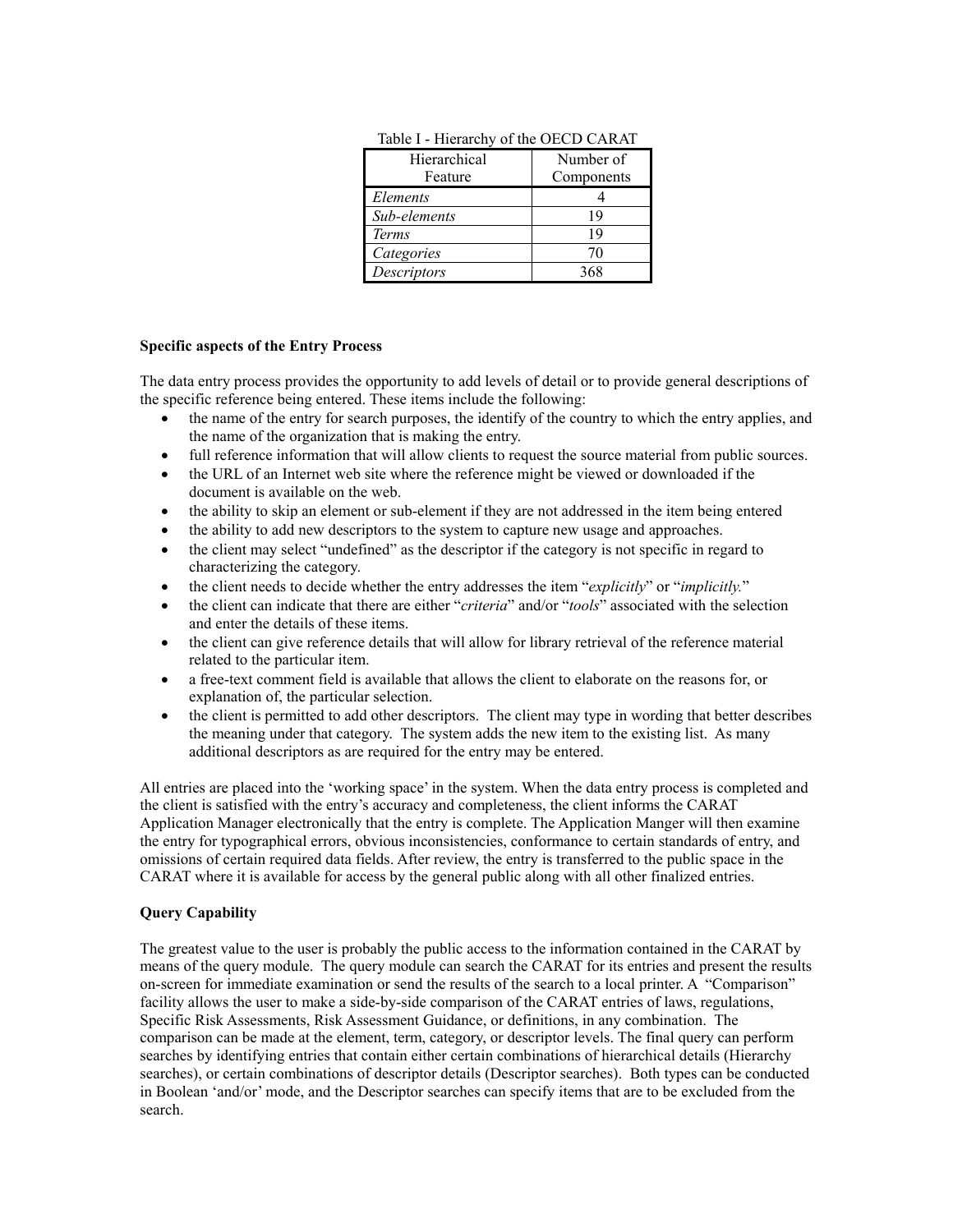| Hierarchical<br>Feature | Number of<br>Components |
|-------------------------|-------------------------|
| Elements                |                         |
| Sub-elements            | 19                      |
| Terms                   | 19                      |
| Categories              | 70                      |
| Descriptors             | 368                     |

Table I - Hierarchy of the OECD CARAT

## **Specific aspects of the Entry Process**

The data entry process provides the opportunity to add levels of detail or to provide general descriptions of the specific reference being entered. These items include the following:

- the name of the entry for search purposes, the identify of the country to which the entry applies, and the name of the organization that is making the entry.
- full reference information that will allow clients to request the source material from public sources.
- the URL of an Internet web site where the reference might be viewed or downloaded if the document is available on the web.
- the ability to skip an element or sub-element if they are not addressed in the item being entered
- the ability to add new descriptors to the system to capture new usage and approaches.
- the client may select "undefined" as the descriptor if the category is not specific in regard to characterizing the category.
- the client needs to decide whether the entry addresses the item "*explicitly*" or "*implicitly.*"
- the client can indicate that there are either "*criteria*" and/or "*tools*" associated with the selection and enter the details of these items.
- the client can give reference details that will allow for library retrieval of the reference material related to the particular item.
- a free-text comment field is available that allows the client to elaborate on the reasons for, or explanation of, the particular selection.
- the client is permitted to add other descriptors. The client may type in wording that better describes the meaning under that category. The system adds the new item to the existing list. As many additional descriptors as are required for the entry may be entered.

All entries are placed into the 'working space' in the system. When the data entry process is completed and the client is satisfied with the entry's accuracy and completeness, the client informs the CARAT Application Manager electronically that the entry is complete. The Application Manger will then examine the entry for typographical errors, obvious inconsistencies, conformance to certain standards of entry, and omissions of certain required data fields. After review, the entry is transferred to the public space in the CARAT where it is available for access by the general public along with all other finalized entries.

### **Query Capability**

The greatest value to the user is probably the public access to the information contained in the CARAT by means of the query module. The query module can search the CARAT for its entries and present the results on-screen for immediate examination or send the results of the search to a local printer. A "Comparison" facility allows the user to make a side-by-side comparison of the CARAT entries of laws, regulations, Specific Risk Assessments, Risk Assessment Guidance, or definitions, in any combination. The comparison can be made at the element, term, category, or descriptor levels. The final query can perform searches by identifying entries that contain either certain combinations of hierarchical details (Hierarchy searches), or certain combinations of descriptor details (Descriptor searches). Both types can be conducted in Boolean 'and/or' mode, and the Descriptor searches can specify items that are to be excluded from the search.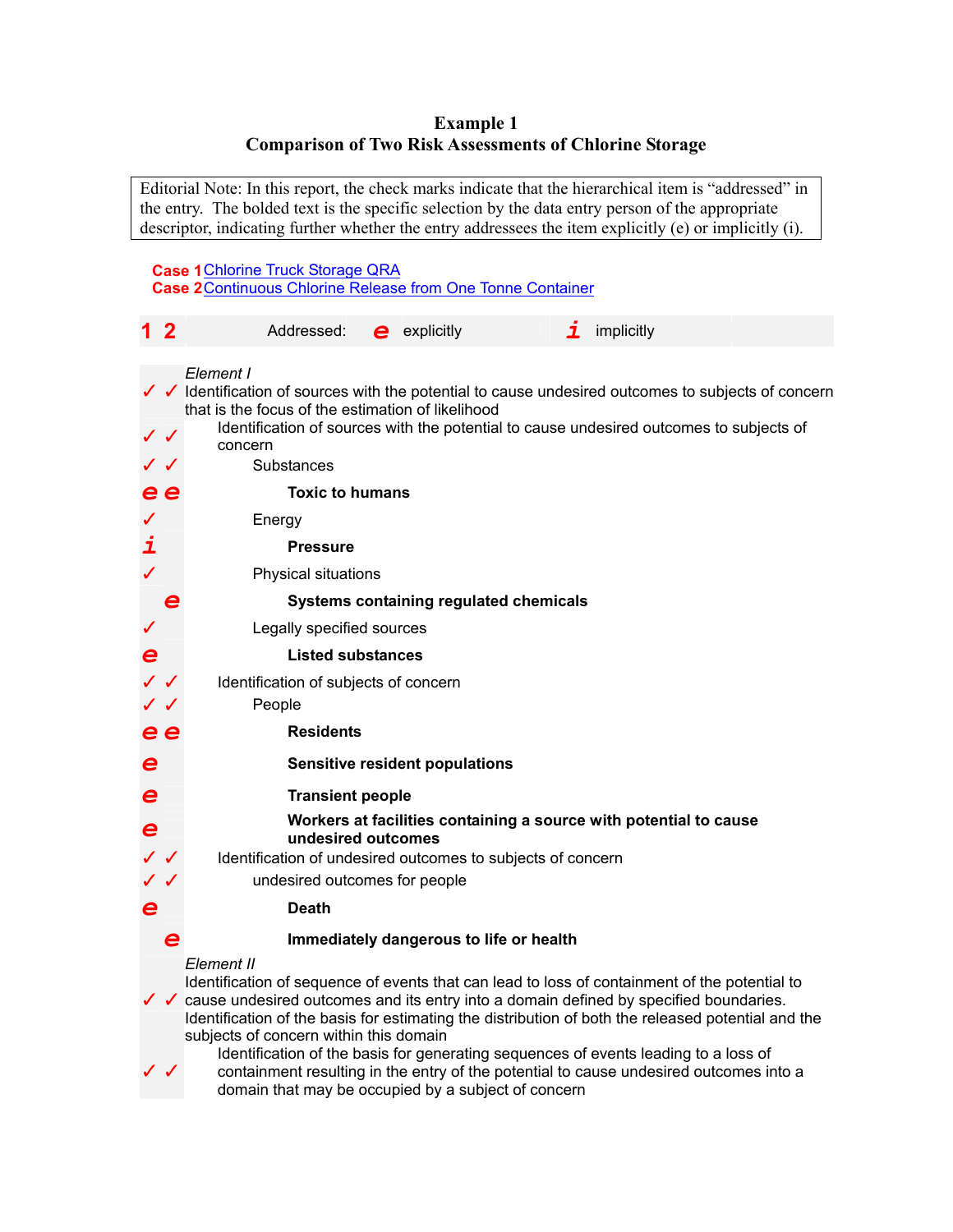# **Example 1 Comparison of Two Risk Assessments of Chlorine Storage**

Editorial Note: In this report, the check marks indicate that the hierarchical item is "addressed" in the entry. The bolded text is the specific selection by the data entry person of the appropriate descriptor, indicating further whether the entry addressees the item explicitly (e) or implicitly (i).

# **Case 1**Chlorine Truck Storage QRA **Case 2**Continuous Chlorine Release from One Tonne Container

| $1\,2$       |                   | Addressed:<br>implicitly<br>$e$ explicitly<br>$\mathbf 7$                                                                                                                                                                                                                                                                                                         |
|--------------|-------------------|-------------------------------------------------------------------------------------------------------------------------------------------------------------------------------------------------------------------------------------------------------------------------------------------------------------------------------------------------------------------|
|              |                   |                                                                                                                                                                                                                                                                                                                                                                   |
|              |                   | Element I<br>$\sqrt{\phantom{a}}$ Identification of sources with the potential to cause undesired outcomes to subjects of concern<br>that is the focus of the estimation of likelihood                                                                                                                                                                            |
| $\checkmark$ |                   | Identification of sources with the potential to cause undesired outcomes to subjects of<br>concern                                                                                                                                                                                                                                                                |
| $\checkmark$ |                   | Substances                                                                                                                                                                                                                                                                                                                                                        |
|              | e e               | <b>Toxic to humans</b>                                                                                                                                                                                                                                                                                                                                            |
|              |                   | Energy                                                                                                                                                                                                                                                                                                                                                            |
| i            |                   | <b>Pressure</b>                                                                                                                                                                                                                                                                                                                                                   |
|              |                   | Physical situations                                                                                                                                                                                                                                                                                                                                               |
|              |                   | Systems containing regulated chemicals                                                                                                                                                                                                                                                                                                                            |
|              |                   | Legally specified sources                                                                                                                                                                                                                                                                                                                                         |
| $\mathbf e$  |                   | <b>Listed substances</b>                                                                                                                                                                                                                                                                                                                                          |
|              | $\sqrt{\sqrt{2}}$ | Identification of subjects of concern                                                                                                                                                                                                                                                                                                                             |
|              | $\checkmark$      | People                                                                                                                                                                                                                                                                                                                                                            |
|              | e e               | <b>Residents</b>                                                                                                                                                                                                                                                                                                                                                  |
| e            |                   | <b>Sensitive resident populations</b>                                                                                                                                                                                                                                                                                                                             |
| e            |                   | <b>Transient people</b>                                                                                                                                                                                                                                                                                                                                           |
| $\mathbf e$  |                   | Workers at facilities containing a source with potential to cause<br>undesired outcomes                                                                                                                                                                                                                                                                           |
|              |                   | Identification of undesired outcomes to subjects of concern                                                                                                                                                                                                                                                                                                       |
|              |                   | undesired outcomes for people                                                                                                                                                                                                                                                                                                                                     |
| e            |                   | <b>Death</b>                                                                                                                                                                                                                                                                                                                                                      |
|              | e                 | Immediately dangerous to life or health                                                                                                                                                                                                                                                                                                                           |
|              |                   | Element II<br>Identification of sequence of events that can lead to loss of containment of the potential to<br>$\checkmark$ cause undesired outcomes and its entry into a domain defined by specified boundaries.<br>Identification of the basis for estimating the distribution of both the released potential and the<br>subjects of concern within this domain |

Identification of the basis for generating sequences of events leading to a loss of containment resulting in the entry of the potential to cause undesired outcomes into a domain that may be occupied by a subject of concern

✓ ✓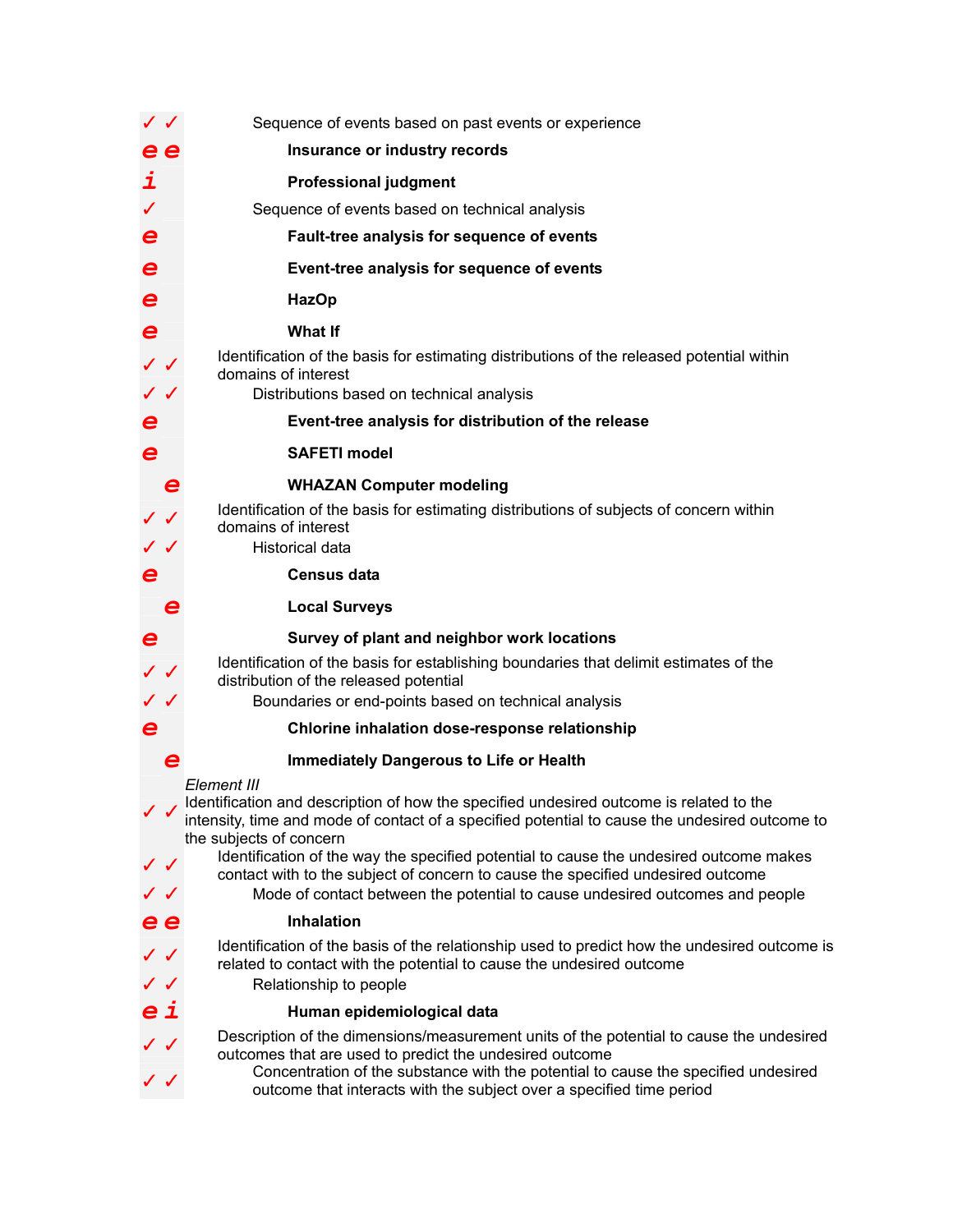|                         | $\checkmark$ | Sequence of events based on past events or experience                                                                                                                                                                                    |
|-------------------------|--------------|------------------------------------------------------------------------------------------------------------------------------------------------------------------------------------------------------------------------------------------|
|                         | e e          | Insurance or industry records                                                                                                                                                                                                            |
| i                       |              | <b>Professional judgment</b>                                                                                                                                                                                                             |
| ✓                       |              | Sequence of events based on technical analysis                                                                                                                                                                                           |
| $\boldsymbol{\epsilon}$ |              | Fault-tree analysis for sequence of events                                                                                                                                                                                               |
| e                       |              | Event-tree analysis for sequence of events                                                                                                                                                                                               |
| $\mathbf e$             |              | <b>HazOp</b>                                                                                                                                                                                                                             |
| $\boldsymbol{\epsilon}$ |              | <b>What If</b>                                                                                                                                                                                                                           |
| $\checkmark$<br>✓✓      |              | Identification of the basis for estimating distributions of the released potential within<br>domains of interest<br>Distributions based on technical analysis                                                                            |
| $\boldsymbol{\epsilon}$ |              | Event-tree analysis for distribution of the release                                                                                                                                                                                      |
| $\boldsymbol{e}$        |              | <b>SAFETI model</b>                                                                                                                                                                                                                      |
|                         |              |                                                                                                                                                                                                                                          |
|                         |              | <b>WHAZAN Computer modeling</b><br>Identification of the basis for estimating distributions of subjects of concern within                                                                                                                |
|                         |              | domains of interest                                                                                                                                                                                                                      |
|                         |              | <b>Historical data</b>                                                                                                                                                                                                                   |
| e                       |              | <b>Census data</b>                                                                                                                                                                                                                       |
|                         | e            | <b>Local Surveys</b>                                                                                                                                                                                                                     |
| e                       |              | Survey of plant and neighbor work locations                                                                                                                                                                                              |
| ✓✓                      |              | Identification of the basis for establishing boundaries that delimit estimates of the<br>distribution of the released potential                                                                                                          |
|                         |              | Boundaries or end-points based on technical analysis                                                                                                                                                                                     |
| e                       |              | Chlorine inhalation dose-response relationship                                                                                                                                                                                           |
|                         |              | <b>Immediately Dangerous to Life or Health</b>                                                                                                                                                                                           |
|                         |              | Element III                                                                                                                                                                                                                              |
|                         |              | Identification and description of how the specified undesired outcome is related to the<br>intensity, time and mode of contact of a specified potential to cause the undesired outcome to                                                |
|                         |              | the subjects of concern<br>Identification of the way the specified potential to cause the undesired outcome makes                                                                                                                        |
| $\checkmark$            |              | contact with to the subject of concern to cause the specified undesired outcome                                                                                                                                                          |
| ✓✓                      |              | Mode of contact between the potential to cause undesired outcomes and people                                                                                                                                                             |
|                         | e e          | <b>Inhalation</b>                                                                                                                                                                                                                        |
| ✓✓                      | $\checkmark$ | Identification of the basis of the relationship used to predict how the undesired outcome is<br>related to contact with the potential to cause the undesired outcome<br>Relationship to people                                           |
|                         | еi           | Human epidemiological data                                                                                                                                                                                                               |
| ✓✓                      |              | Description of the dimensions/measurement units of the potential to cause the undesired<br>outcomes that are used to predict the undesired outcome<br>Concentration of the substance with the potential to cause the specified undesired |
|                         |              | outcome that interacts with the subject over a specified time period                                                                                                                                                                     |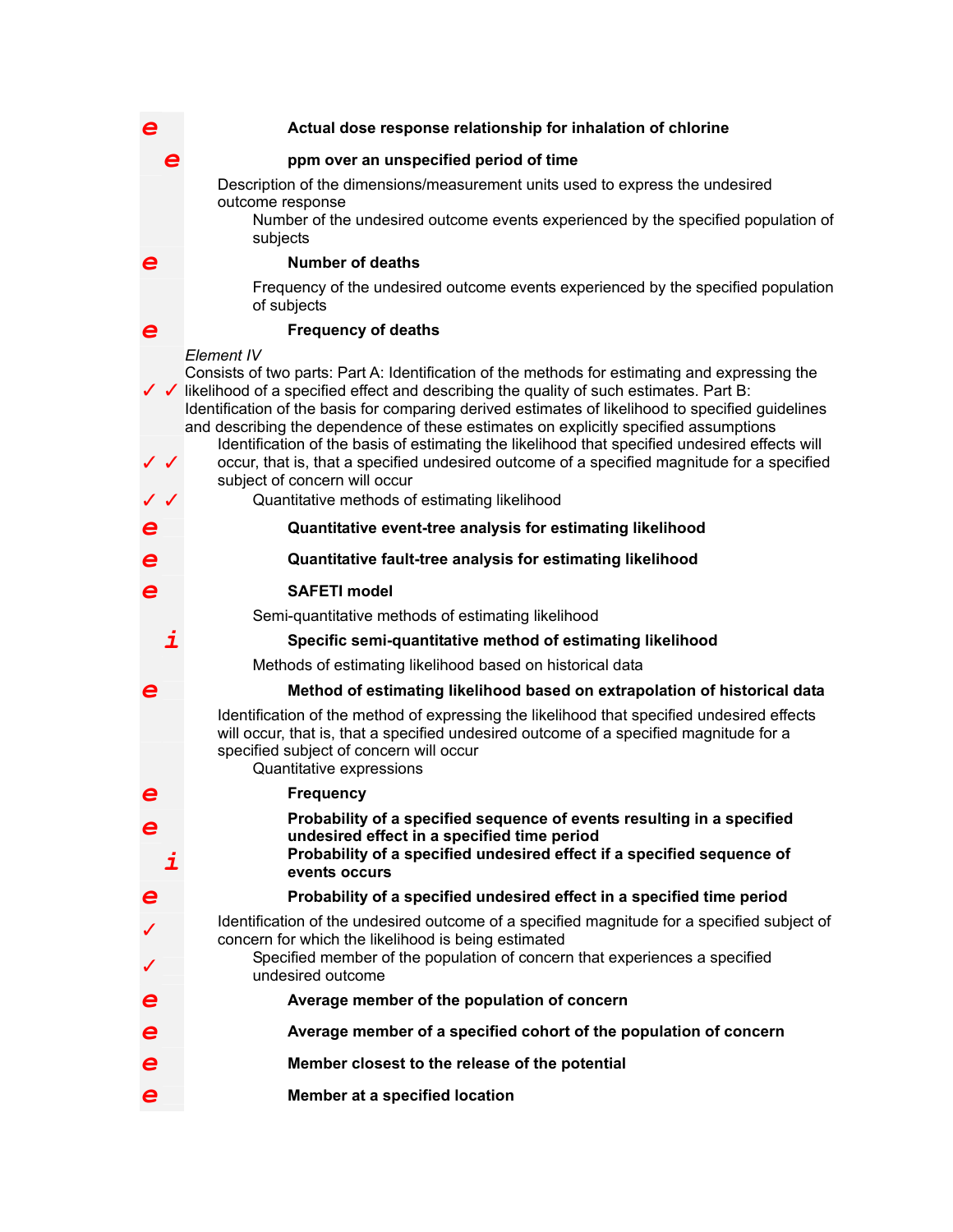# *e* **Actual dose response relationship for inhalation of chlorine**

## *e* **ppm over an unspecified period of time**

 Description of the dimensions/measurement units used to express the undesired outcome response

 Number of the undesired outcome events experienced by the specified population of subjects

### *e* **Number of deaths**

 Frequency of the undesired outcome events experienced by the specified population of subjects

### *e* **Frequency of deaths**

✓ ✓ likelihood of a specified effect and describing the quality of such estimates. Part B: *Element IV*  Consists of two parts: Part A: Identification of the methods for estimating and expressing the Identification of the basis for comparing derived estimates of likelihood to specified guidelines and describing the dependence of these estimates on explicitly specified assumptions ✓ ✓ Identification of the basis of estimating the likelihood that specified undesired effects will occur, that is, that a specified undesired outcome of a specified magnitude for a specified subject of concern will occur ✓ ✓ Quantitative methods of estimating likelihood *e* **Quantitative event-tree analysis for estimating likelihood**  *e* **Quantitative fault-tree analysis for estimating likelihood**  *e* **SAFETI model**  Semi-quantitative methods of estimating likelihood *i* **Specific semi-quantitative method of estimating likelihood**  Methods of estimating likelihood based on historical data *e* **Method of estimating likelihood based on extrapolation of historical data**  Identification of the method of expressing the likelihood that specified undesired effects will occur, that is, that a specified undesired outcome of a specified magnitude for a specified subject of concern will occur Quantitative expressions *e* **Frequency**  *e* **Probability of a specified sequence of events resulting in a specified undesired effect in a specified time period**  *i* **Probability of a specified undesired effect if a specified sequence of events occurs**  *e* **Probability of a specified undesired effect in a specified time period**  Identification of the undesired outcome of a specified magnitude for a specified subject of concern for which the likelihood is being estimated Specified member of the population of concern that experiences a specified undesired outcome *e* **Average member of the population of concern**  *e* **Average member of a specified cohort of the population of concern Member closest to the release of the potential** *e* **Member at a specified location**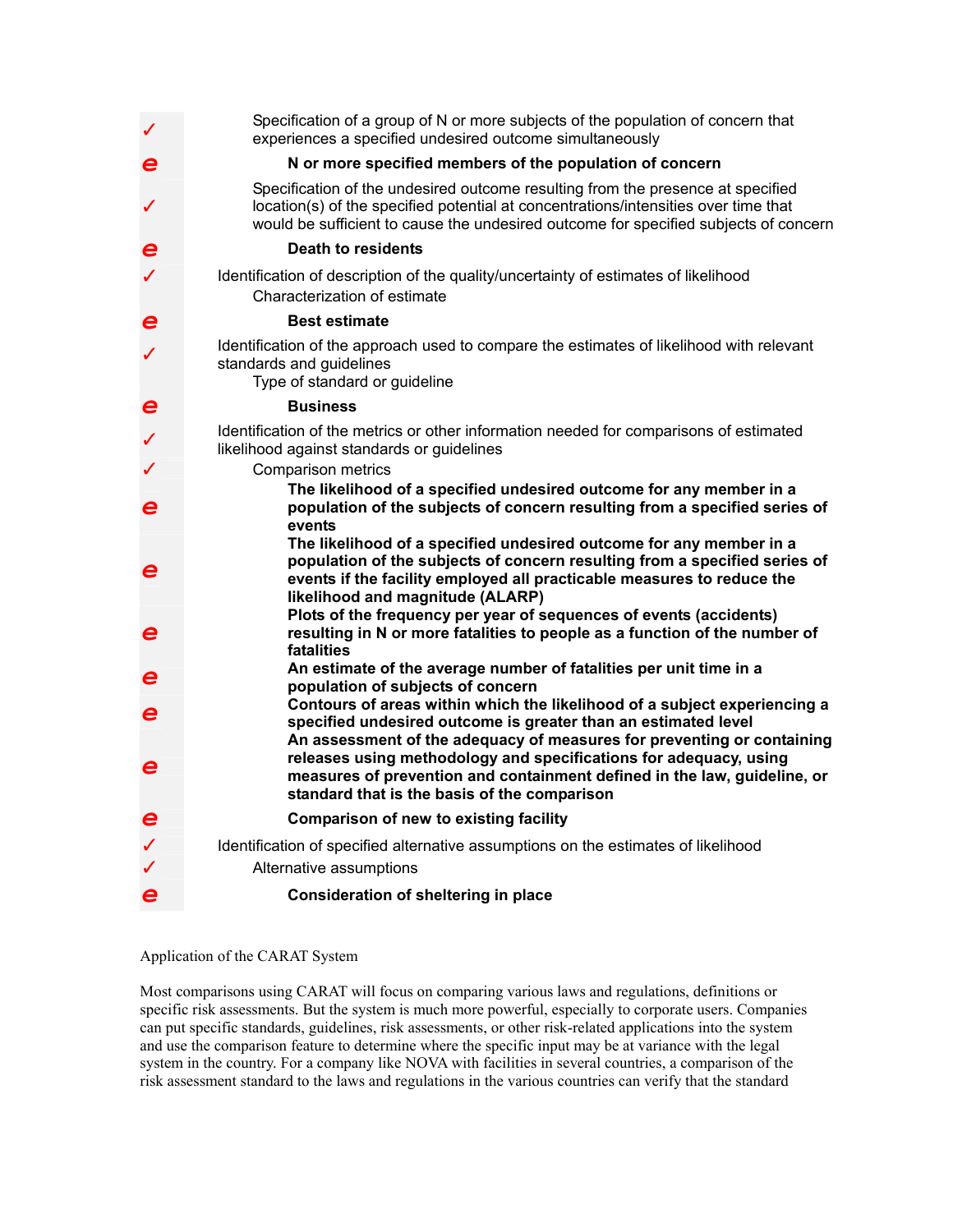|                               | Specification of a group of N or more subjects of the population of concern that<br>experiences a specified undesired outcome simultaneously                                                                                                                    |
|-------------------------------|-----------------------------------------------------------------------------------------------------------------------------------------------------------------------------------------------------------------------------------------------------------------|
| $\boldsymbol{e}$              | N or more specified members of the population of concern                                                                                                                                                                                                        |
| $\checkmark$                  | Specification of the undesired outcome resulting from the presence at specified<br>location(s) of the specified potential at concentrations/intensities over time that<br>would be sufficient to cause the undesired outcome for specified subjects of concern  |
| $\boldsymbol{\epsilon}$       | Death to residents                                                                                                                                                                                                                                              |
|                               | Identification of description of the quality/uncertainty of estimates of likelihood<br>Characterization of estimate                                                                                                                                             |
| e                             | <b>Best estimate</b>                                                                                                                                                                                                                                            |
|                               | Identification of the approach used to compare the estimates of likelihood with relevant<br>standards and guidelines<br>Type of standard or guideline                                                                                                           |
| e                             | <b>Business</b>                                                                                                                                                                                                                                                 |
|                               | Identification of the metrics or other information needed for comparisons of estimated<br>likelihood against standards or guidelines                                                                                                                            |
|                               | Comparison metrics                                                                                                                                                                                                                                              |
| e                             | The likelihood of a specified undesired outcome for any member in a<br>population of the subjects of concern resulting from a specified series of<br>events                                                                                                     |
| e                             | The likelihood of a specified undesired outcome for any member in a<br>population of the subjects of concern resulting from a specified series of<br>events if the facility employed all practicable measures to reduce the<br>likelihood and magnitude (ALARP) |
| e                             | Plots of the frequency per year of sequences of events (accidents)<br>resulting in N or more fatalities to people as a function of the number of<br>fatalities                                                                                                  |
| e                             | An estimate of the average number of fatalities per unit time in a                                                                                                                                                                                              |
|                               | population of subjects of concern<br>Contours of areas within which the likelihood of a subject experiencing a                                                                                                                                                  |
| e                             | specified undesired outcome is greater than an estimated level<br>An assessment of the adequacy of measures for preventing or containing                                                                                                                        |
| e                             | releases using methodology and specifications for adequacy, using<br>measures of prevention and containment defined in the law, guideline, or<br>standard that is the basis of the comparison                                                                   |
| $\boldsymbol{\boldsymbol{e}}$ | <b>Comparison of new to existing facility</b>                                                                                                                                                                                                                   |
| $\checkmark$                  | Identification of specified alternative assumptions on the estimates of likelihood<br>Alternative assumptions                                                                                                                                                   |
| e                             | <b>Consideration of sheltering in place</b>                                                                                                                                                                                                                     |

Application of the CARAT System

Most comparisons using CARAT will focus on comparing various laws and regulations, definitions or specific risk assessments. But the system is much more powerful, especially to corporate users. Companies can put specific standards, guidelines, risk assessments, or other risk-related applications into the system and use the comparison feature to determine where the specific input may be at variance with the legal system in the country. For a company like NOVA with facilities in several countries, a comparison of the risk assessment standard to the laws and regulations in the various countries can verify that the standard